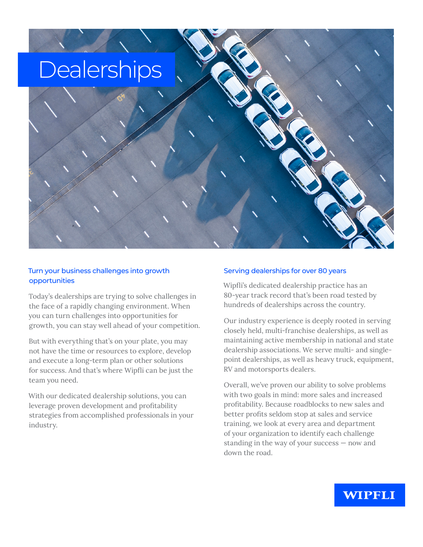# Dealerships

#### Turn your business challenges into growth opportunities

Today's dealerships are trying to solve challenges in the face of a rapidly changing environment. When you can turn challenges into opportunities for growth, you can stay well ahead of your competition.

But with everything that's on your plate, you may not have the time or resources to explore, develop and execute a long-term plan or other solutions for success. And that's where Wipfli can be just the team you need.

With our dedicated dealership solutions, you can leverage proven development and profitability strategies from accomplished professionals in your industry.

#### Serving dealerships for over 80 years

Wipfli's dedicated dealership practice has an 80-year track record that's been road tested by hundreds of dealerships across the country.

Our industry experience is deeply rooted in serving closely held, multi-franchise dealerships, as well as maintaining active membership in national and state dealership associations. We serve multi- and singlepoint dealerships, as well as heavy truck, equipment, RV and motorsports dealers.

Overall, we've proven our ability to solve problems with two goals in mind: more sales and increased profitability. Because roadblocks to new sales and better profits seldom stop at sales and service training, we look at every area and department of your organization to identify each challenge standing in the way of your success — now and down the road.

### WIPFLI